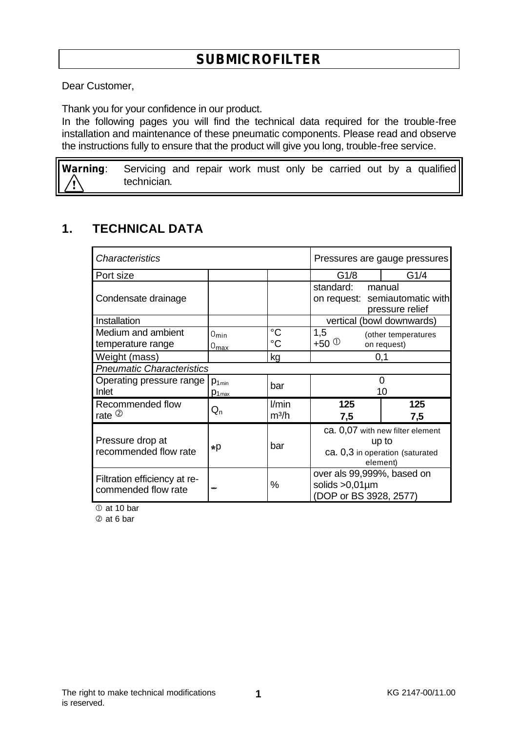Dear Customer,

Thank you for your confidence in our product.

In the following pages you will find the technical data required for the trouble-free installation and maintenance of these pneumatic components. Please read and observe the instructions fully to ensure that the product will give you long, trouble-free service.

**Warning**: Servicing and repair work must only be carried out by a qualified technician.

## **1. TECHNICAL DATA**

| <b>Characteristics</b>                              |                                      |                            | Pressures are gauge pressures                                                            |                                                             |  |
|-----------------------------------------------------|--------------------------------------|----------------------------|------------------------------------------------------------------------------------------|-------------------------------------------------------------|--|
| Port size                                           |                                      |                            | G1/4<br>G1/8                                                                             |                                                             |  |
| Condensate drainage                                 |                                      |                            | standard:                                                                                | manual<br>on request: semiautomatic with<br>pressure relief |  |
| Installation                                        |                                      |                            | vertical (bowl downwards)                                                                |                                                             |  |
| Medium and ambient<br>temperature range             | $0_{\text{min}}$<br>$0_{\text{max}}$ | $^{\circ}C$<br>$^{\circ}C$ | 1,5<br>+50 $^{\circ}$                                                                    | (other temperatures<br>on request)                          |  |
| Weight (mass)                                       |                                      | kg                         | 0,1                                                                                      |                                                             |  |
| <b>Pneumatic Characteristics</b>                    |                                      |                            |                                                                                          |                                                             |  |
| Operating pressure range<br>Inlet                   | $p_{1min}$<br>$p_{1\text{max}}$      | bar                        | 0<br>10                                                                                  |                                                             |  |
| Recommended flow<br>rate $\circledcirc$             | $\mathsf{Q}_{\mathsf{n}}$            | l/min<br>$m^3/h$           | 125<br>7,5                                                                               | 125<br>7,5                                                  |  |
| Pressure drop at<br>recommended flow rate           | ∗р                                   | bar                        | ca. 0,07 with new filter element<br>up to<br>ca. 0,3 in operation (saturated<br>element) |                                                             |  |
| Filtration efficiency at re-<br>commended flow rate |                                      | %                          | over als 99,999%, based on<br>solids $>0.01 \mu m$<br>(DOP or BS 3928, 2577)             |                                                             |  |

 $\overline{O}$  at 10 bar

Ç at 6 bar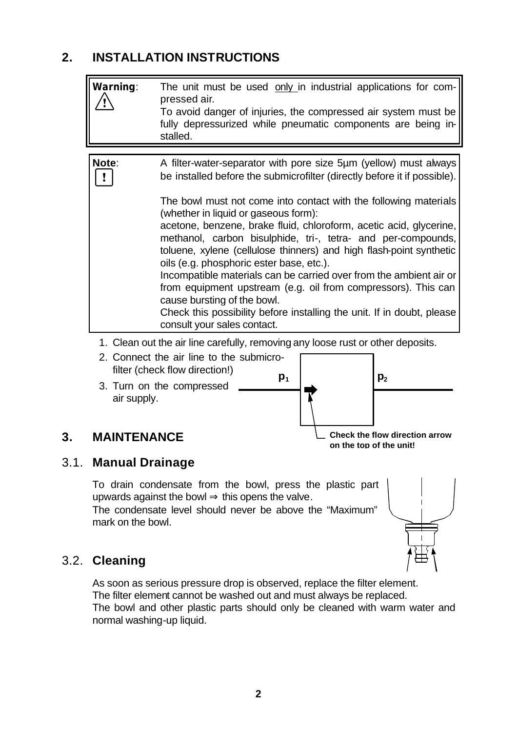## **2. INSTALLATION INSTRUCTIONS**

| Warning:                                                                        | The unit must be used only in industrial applications for com-<br>pressed air.<br>To avoid danger of injuries, the compressed air system must be<br>fully depressurized while pneumatic components are being in-<br>stalled.                                                                                                                                                                                                                                                                                                                                                                                                                     |  |  |  |  |  |
|---------------------------------------------------------------------------------|--------------------------------------------------------------------------------------------------------------------------------------------------------------------------------------------------------------------------------------------------------------------------------------------------------------------------------------------------------------------------------------------------------------------------------------------------------------------------------------------------------------------------------------------------------------------------------------------------------------------------------------------------|--|--|--|--|--|
|                                                                                 |                                                                                                                                                                                                                                                                                                                                                                                                                                                                                                                                                                                                                                                  |  |  |  |  |  |
| Note:                                                                           | A filter-water-separator with pore size 5µm (yellow) must always<br>be installed before the submicrofilter (directly before it if possible).                                                                                                                                                                                                                                                                                                                                                                                                                                                                                                     |  |  |  |  |  |
|                                                                                 | The bowl must not come into contact with the following materials<br>(whether in liquid or gaseous form):<br>acetone, benzene, brake fluid, chloroform, acetic acid, glycerine,<br>methanol, carbon bisulphide, tri-, tetra- and per-compounds,<br>toluene, xylene (cellulose thinners) and high flash-point synthetic<br>oils (e.g. phosphoric ester base, etc.).<br>Incompatible materials can be carried over from the ambient air or<br>from equipment upstream (e.g. oil from compressors). This can<br>cause bursting of the bowl.<br>Check this possibility before installing the unit. If in doubt, please<br>consult your sales contact. |  |  |  |  |  |
| 1. Clean out the air line carefully, removing any loose rust or other deposits. |                                                                                                                                                                                                                                                                                                                                                                                                                                                                                                                                                                                                                                                  |  |  |  |  |  |
| Connect the air line to the submicro-                                           |                                                                                                                                                                                                                                                                                                                                                                                                                                                                                                                                                                                                                                                  |  |  |  |  |  |

- Connect the air line to the su filter (check flow direction!)
- 3. Turn on the compressed air supply.



#### **3. MAINTENANCE**

**on the top of the unit!**

### 3.1. **Manual Drainage**

To drain condensate from the bowl, press the plastic part upwards against the bowl  $\Rightarrow$  this opens the valve. The condensate level should never be above the "Maximum" mark on the bowl.



## 3.2. **Cleaning**

As soon as serious pressure drop is observed, replace the filter element. The filter element cannot be washed out and must always be replaced. The bowl and other plastic parts should only be cleaned with warm water and normal washing-up liquid.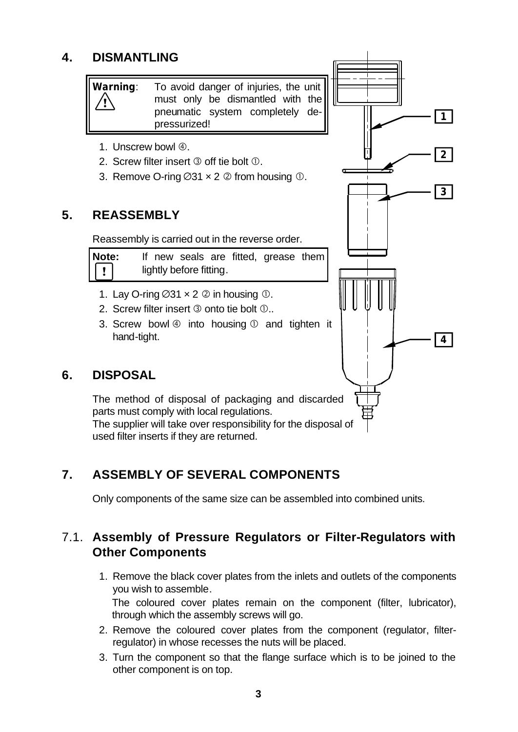## **4. DISMANTLING**

**Warning**: To avoid danger of injuries, the unit must only be dismantled with the pneumatic system completely depressurized!

**1**

**2**

**3**

**4**

- 1. Unscrew bowl 4.
- 2. Screw filter insert  $\odot$  off tie bolt  $\odot$ .
- 3. Remove O-ring  $\varnothing$ 31 x 2  $\varnothing$  from housing  $\varnothing$ .

### **5. REASSEMBLY**

Reassembly is carried out in the reverse order.

| <b>Note:</b> |                         |  |  |  | If new seals are fitted, grease them |  |
|--------------|-------------------------|--|--|--|--------------------------------------|--|
| $\boxed{!}$  | lightly before fitting. |  |  |  |                                      |  |

- 1. Lay O-ring  $\varnothing$ 31  $\times$  2  $\varnothing$  in housing  $\varnothing$ .
- 2. Screw filter insert  $\circled{2}$  onto tie bolt  $\circled{0}$ ..
- 3. Screw bowl  $\circled{a}$  into housing  $\circled{b}$  and tighten it hand-tight.

## **6. DISPOSAL**

The method of disposal of packaging and discarded parts must comply with local regulations. The supplier will take over responsibility for the disposal of used filter inserts if they are returned.

# **7. ASSEMBLY OF SEVERAL COMPONENTS**

Only components of the same size can be assembled into combined units.

## 7.1. **Assembly of Pressure Regulators or Filter-Regulators with Other Components**

- 1. Remove the black cover plates from the inlets and outlets of the components you wish to assemble. The coloured cover plates remain on the component (filter, lubricator), through which the assembly screws will go.
- 2. Remove the coloured cover plates from the component (regulator, filterregulator) in whose recesses the nuts will be placed.
- 3. Turn the component so that the flange surface which is to be joined to the other component is on top.